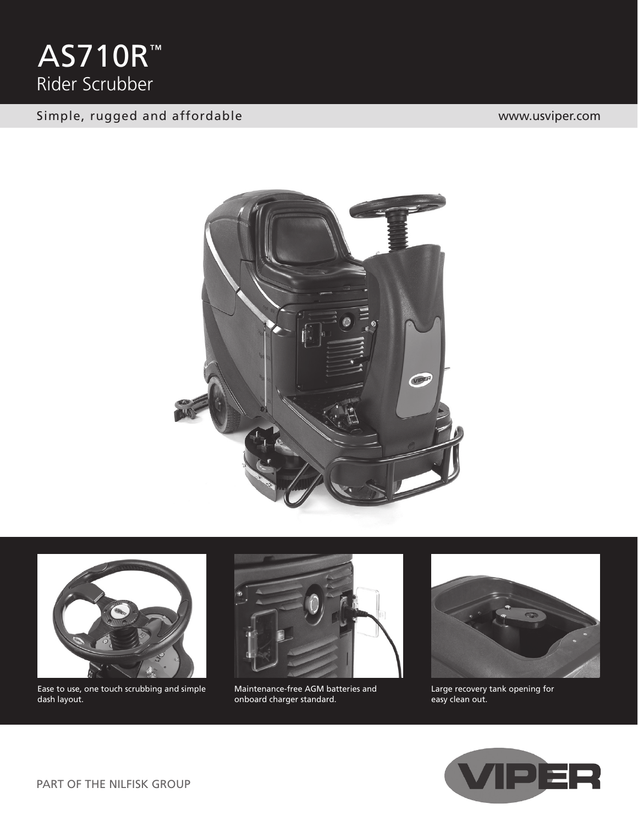

#### Simple, rugged and affordable www.usviper.com





Ease to use, one touch scrubbing and simple dash layout.



Maintenance-free AGM batteries and onboard charger standard.



Large recovery tank opening for easy clean out.